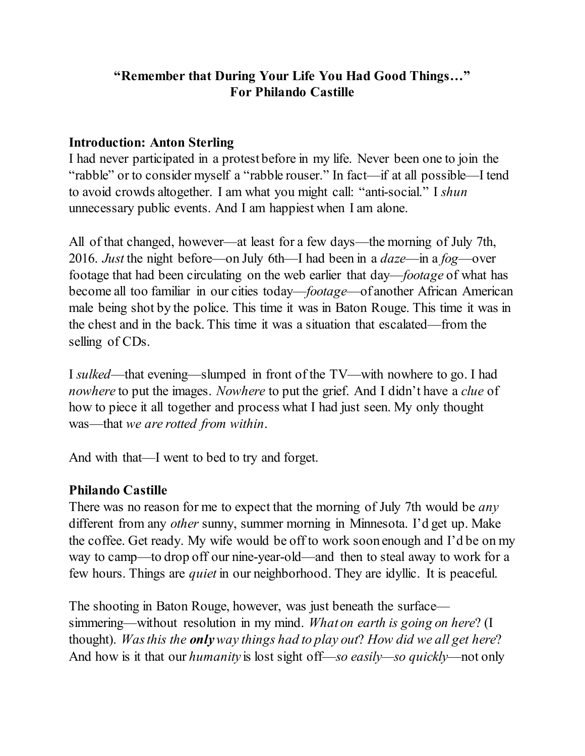## **"Remember that During Your Life You Had Good Things…" For Philando Castille**

#### **Introduction: Anton Sterling**

I had never participated in a protest before in my life. Never been one to join the "rabble" or to consider myself a "rabble rouser." In fact—if at all possible—I tend to avoid crowds altogether. I am what you might call: "anti-social." I *shun* unnecessary public events. And I am happiest when I am alone.

All of that changed, however—at least for a few days—the morning of July 7th, 2016. *Just* the night before—on July 6th—I had been in a *daze*—in a *fog*—over footage that had been circulating on the web earlier that day—*footage* of what has become all too familiar in our cities today—*footage*—of another African American male being shot by the police. This time it was in Baton Rouge. This time it was in the chest and in the back. This time it was a situation that escalated—from the selling of CDs.

I *sulked*—that evening—slumped in front of the TV—with nowhere to go. I had *nowhere* to put the images. *Nowhere* to put the grief. And I didn't have a *clue* of how to piece it all together and process what I had just seen. My only thought was—that *we are rotted from within*.

And with that—I went to bed to try and forget.

## **Philando Castille**

There was no reason for me to expect that the morning of July 7th would be *any* different from any *other* sunny, summer morning in Minnesota. I'd get up. Make the coffee. Get ready. My wife would be off to work soon enough and I'd be on my way to camp—to drop off our nine-year-old—and then to steal away to work for a few hours. Things are *quiet* in our neighborhood. They are idyllic. It is peaceful.

The shooting in Baton Rouge, however, was just beneath the surface simmering—without resolution in my mind. *What on earth is going on here*? (I thought). *Was this the onlyway things had to play out*? *How did we all get here*? And how is it that our *humanity* is lost sight off—*so easily—so quickly*—not only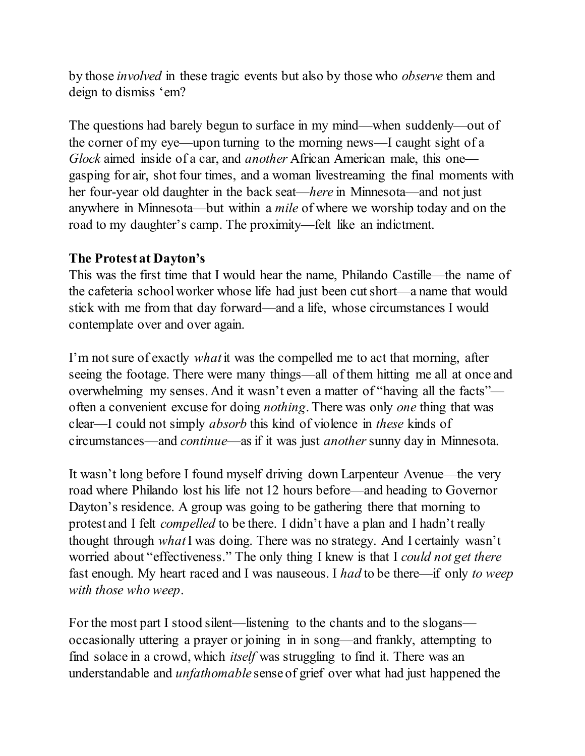by those *involved* in these tragic events but also by those who *observe* them and deign to dismiss 'em?

The questions had barely begun to surface in my mind—when suddenly—out of the corner of my eye—upon turning to the morning news—I caught sight of a *Glock* aimed inside of a car, and *another* African American male, this one gasping for air, shot four times, and a woman livestreaming the final moments with her four-year old daughter in the back seat—*here* in Minnesota—and not just anywhere in Minnesota—but within a *mile* of where we worship today and on the road to my daughter's camp. The proximity—felt like an indictment.

#### **The Protest at Dayton's**

This was the first time that I would hear the name, Philando Castille—the name of the cafeteria school worker whose life had just been cut short—a name that would stick with me from that day forward—and a life, whose circumstances I would contemplate over and over again.

I'm not sure of exactly *what* it was the compelled me to act that morning, after seeing the footage. There were many things—all of them hitting me all at once and overwhelming my senses. And it wasn't even a matter of "having all the facts" often a convenient excuse for doing *nothing*. There was only *one* thing that was clear—I could not simply *absorb* this kind of violence in *these* kinds of circumstances—and *continue*—as if it was just *another*sunny day in Minnesota.

It wasn't long before I found myself driving down Larpenteur Avenue—the very road where Philando lost his life not 12 hours before—and heading to Governor Dayton's residence. A group was going to be gathering there that morning to protest and I felt *compelled* to be there. I didn't have a plan and I hadn't really thought through *what*I was doing. There was no strategy. And I certainly wasn't worried about "effectiveness." The only thing I knew is that I *could not get there* fast enough. My heart raced and I was nauseous. I *had* to be there—if only *to weep with those who weep*.

For the most part I stood silent—listening to the chants and to the slogans occasionally uttering a prayer or joining in in song—and frankly, attempting to find solace in a crowd, which *itself* was struggling to find it. There was an understandable and *unfathomable* sense of grief over what had just happened the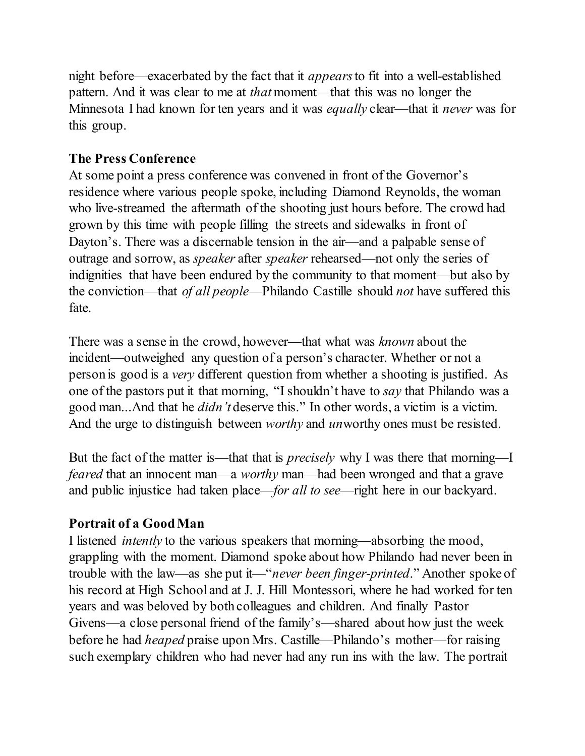night before—exacerbated by the fact that it *appears*to fit into a well-established pattern. And it was clear to me at *that*moment—that this was no longer the Minnesota I had known for ten years and it was *equally* clear—that it *never* was for this group.

# **The Press Conference**

At some point a press conference was convened in front of the Governor's residence where various people spoke, including Diamond Reynolds, the woman who live-streamed the aftermath of the shooting just hours before. The crowd had grown by this time with people filling the streets and sidewalks in front of Dayton's. There was a discernable tension in the air—and a palpable sense of outrage and sorrow, as *speaker* after *speaker* rehearsed—not only the series of indignities that have been endured by the community to that moment—but also by the conviction—that *of all people*—Philando Castille should *not* have suffered this fate.

There was a sense in the crowd, however—that what was *known* about the incident—outweighed any question of a person's character. Whether or not a person is good is a *very* different question from whether a shooting is justified. As one of the pastors put it that morning, "I shouldn't have to *say* that Philando was a good man...And that he *didn't* deserve this." In other words, a victim is a victim. And the urge to distinguish between *worthy* and *un*worthy ones must be resisted.

But the fact of the matter is—that that is *precisely* why I was there that morning—I *feared* that an innocent man—a *worthy* man—had been wronged and that a grave and public injustice had taken place—*for all to see*—right here in our backyard.

# **Portrait of a Good Man**

I listened *intently* to the various speakers that morning—absorbing the mood, grappling with the moment. Diamond spoke about how Philando had never been in trouble with the law—as she put it—"*never been finger-printed*." Another spoke of his record at High School and at J. J. Hill Montessori, where he had worked for ten years and was beloved by both colleagues and children. And finally Pastor Givens—a close personal friend of the family's—shared about how just the week before he had *heaped* praise upon Mrs. Castille—Philando's mother—for raising such exemplary children who had never had any run ins with the law. The portrait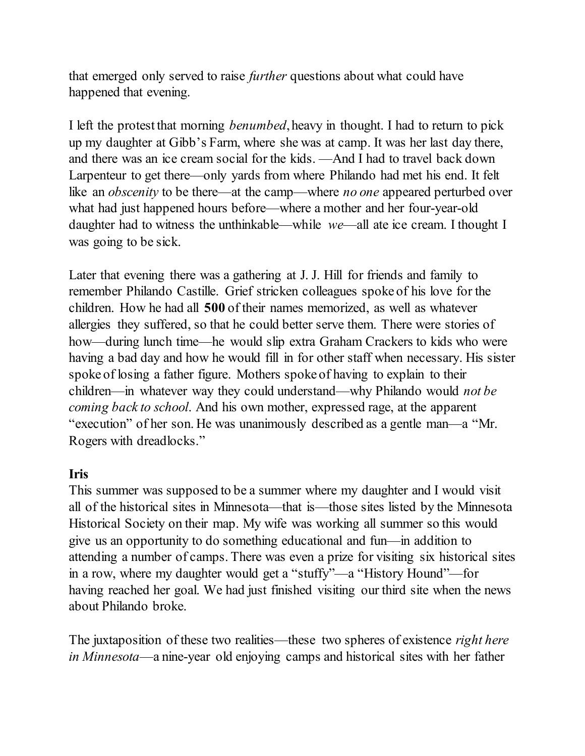that emerged only served to raise *further* questions about what could have happened that evening.

I left the protest that morning *benumbed*, heavy in thought. I had to return to pick up my daughter at Gibb's Farm, where she was at camp. It was her last day there, and there was an ice cream social for the kids. —And I had to travel back down Larpenteur to get there—only yards from where Philando had met his end. It felt like an *obscenity* to be there—at the camp—where *no one* appeared perturbed over what had just happened hours before—where a mother and her four-year-old daughter had to witness the unthinkable—while *we*—all ate ice cream. I thought I was going to be sick.

Later that evening there was a gathering at J. J. Hill for friends and family to remember Philando Castille. Grief stricken colleagues spoke of his love for the children. How he had all **500** of their names memorized, as well as whatever allergies they suffered, so that he could better serve them. There were stories of how—during lunch time—he would slip extra Graham Crackers to kids who were having a bad day and how he would fill in for other staff when necessary. His sister spoke of losing a father figure. Mothers spoke of having to explain to their children—in whatever way they could understand—why Philando would *not be coming back to school*. And his own mother, expressed rage, at the apparent "execution" of her son. He was unanimously described as a gentle man—a "Mr. Rogers with dreadlocks."

## **Iris**

This summer was supposed to be a summer where my daughter and I would visit all of the historical sites in Minnesota—that is—those sites listed by the Minnesota Historical Society on their map. My wife was working all summer so this would give us an opportunity to do something educational and fun—in addition to attending a number of camps. There was even a prize for visiting six historical sites in a row, where my daughter would get a "stuffy"—a "History Hound"—for having reached her goal. We had just finished visiting our third site when the news about Philando broke.

The juxtaposition of these two realities—these two spheres of existence *right here in Minnesota*—a nine-year old enjoying camps and historical sites with her father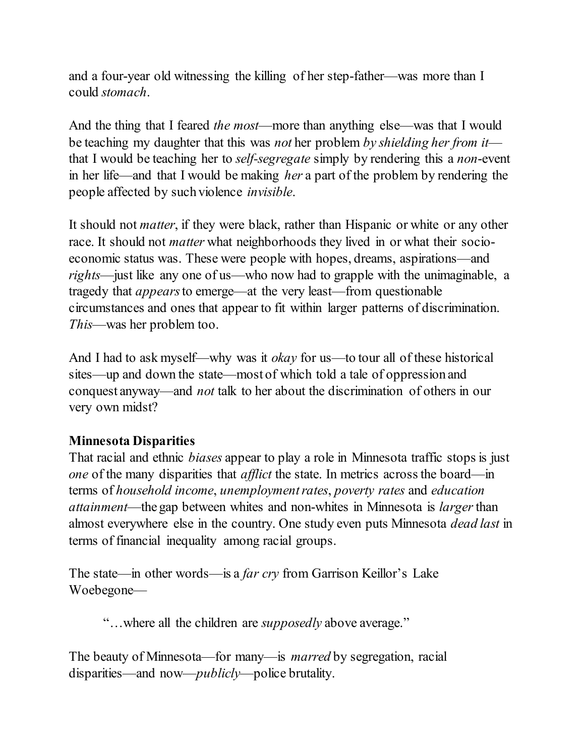and a four-year old witnessing the killing of her step-father—was more than I could *stomach*.

And the thing that I feared *the most*—more than anything else—was that I would be teaching my daughter that this was *not* her problem *by shielding her from it* that I would be teaching her to *self-segregate* simply by rendering this a *non*-event in her life—and that I would be making *her* a part of the problem by rendering the people affected by such violence *invisible*.

It should not *matter*, if they were black, rather than Hispanic or white or any other race. It should not *matter* what neighborhoods they lived in or what their socioeconomic status was. These were people with hopes, dreams, aspirations—and *rights*—just like any one of us—who now had to grapple with the unimaginable, a tragedy that *appears*to emerge—at the very least—from questionable circumstances and ones that appear to fit within larger patterns of discrimination. *This*—was her problem too.

And I had to ask myself—why was it *okay* for us—to tour all of these historical sites—up and down the state—most of which told a tale of oppression and conquest anyway—and *not* talk to her about the discrimination of others in our very own midst?

## **Minnesota Disparities**

That racial and ethnic *biases* appear to play a role in Minnesota traffic stops is just *one* of the many disparities that *afflict* the state. In metrics across the board—in terms of *household income*, *unemployment rates*, *poverty rates* and *education attainment*—the gap between whites and non-whites in Minnesota is *larger*than almost everywhere else in the country. One study even puts Minnesota *dead last* in terms of financial inequality among racial groups.

The state—in other words—is a *far cry* from Garrison Keillor's Lake Woebegone—

"…where all the children are *supposedly* above average."

The beauty of Minnesota—for many—is *marred* by segregation, racial disparities—and now—*publicly*—police brutality.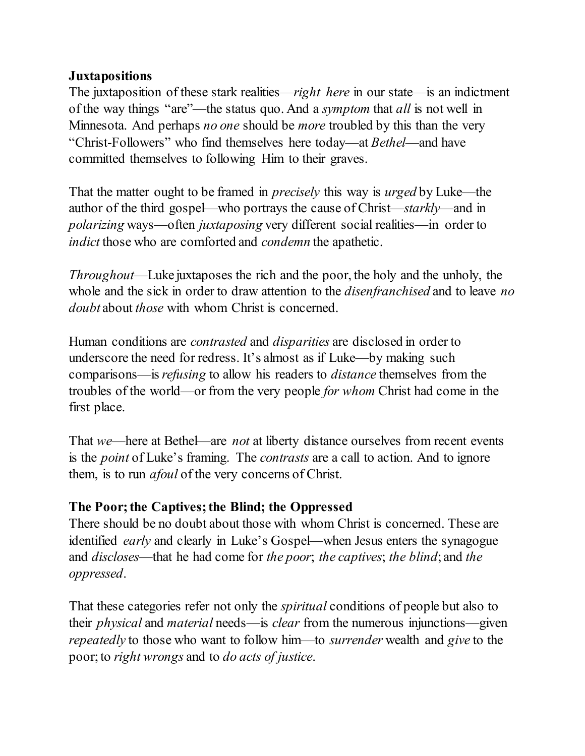#### **Juxtapositions**

The juxtaposition of these stark realities—*right here* in our state—is an indictment of the way things "are"—the status quo. And a *symptom* that *all* is not well in Minnesota. And perhaps *no one* should be *more* troubled by this than the very "Christ-Followers" who find themselves here today—at *Bethel*—and have committed themselves to following Him to their graves.

That the matter ought to be framed in *precisely* this way is *urged* by Luke—the author of the third gospel—who portrays the cause of Christ—*starkly*—and in *polarizing* ways—often *juxtaposing* very different social realities—in order to *indict* those who are comforted and *condemn* the apathetic.

*Throughout*—Luke juxtaposes the rich and the poor, the holy and the unholy, the whole and the sick in order to draw attention to the *disenfranchised* and to leave *no doubt* about *those* with whom Christ is concerned.

Human conditions are *contrasted* and *disparities* are disclosed in order to underscore the need for redress. It's almost as if Luke—by making such comparisons—is*refusing* to allow his readers to *distance* themselves from the troubles of the world—or from the very people *for whom* Christ had come in the first place.

That *we*—here at Bethel—are *not* at liberty distance ourselves from recent events is the *point* of Luke's framing. The *contrasts* are a call to action. And to ignore them, is to run *afoul* of the very concerns of Christ.

## **The Poor; the Captives; the Blind; the Oppressed**

There should be no doubt about those with whom Christ is concerned. These are identified *early* and clearly in Luke's Gospel—when Jesus enters the synagogue and *discloses*—that he had come for *the poor*; *the captives*; *the blind*; and *the oppressed*.

That these categories refer not only the *spiritual* conditions of people but also to their *physical* and *material* needs—is *clear* from the numerous injunctions—given *repeatedly* to those who want to follow him—to *surrender* wealth and *give* to the poor; to *right wrongs* and to *do acts of justice*.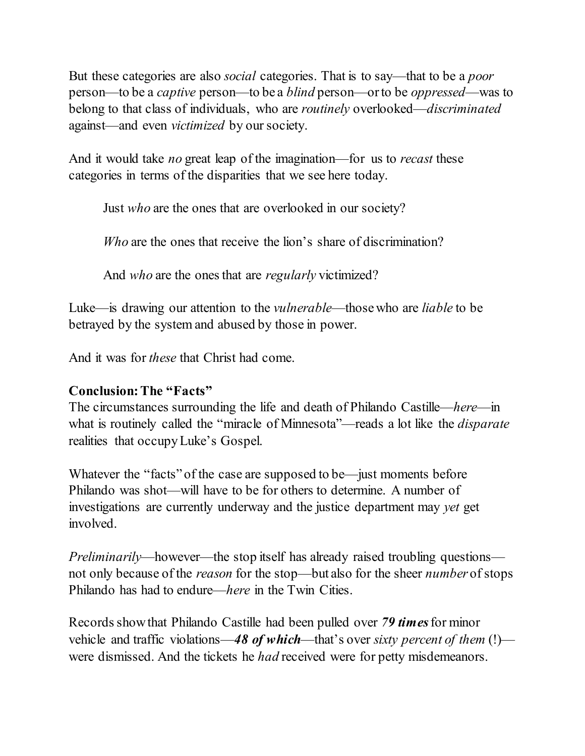But these categories are also *social* categories. That is to say—that to be a *poor* person—to be a *captive* person—to be a *blind* person—or to be *oppressed*—was to belong to that class of individuals, who are *routinely* overlooked—*discriminated* against—and even *victimized* by oursociety.

And it would take *no* great leap of the imagination—for us to *recast* these categories in terms of the disparities that we see here today.

Just *who* are the ones that are overlooked in our society?

*Who* are the ones that receive the lion's share of discrimination?

And *who* are the ones that are *regularly* victimized?

Luke—is drawing our attention to the *vulnerable*—those who are *liable* to be betrayed by the system and abused by those in power.

And it was for *these* that Christ had come.

## **Conclusion: The "Facts"**

The circumstances surrounding the life and death of Philando Castille—*here*—in what is routinely called the "miracle of Minnesota"—reads a lot like the *disparate* realities that occupyLuke's Gospel.

Whatever the "facts" of the case are supposed to be—just moments before Philando was shot—will have to be for others to determine. A number of investigations are currently underway and the justice department may *yet* get involved.

*Preliminarily*—however—the stop itself has already raised troubling questions not only because of the *reason* for the stop—but also for the sheer *number* of stops Philando has had to endure—*here* in the Twin Cities.

Records show that Philando Castille had been pulled over *79 times*for minor vehicle and traffic violations—*48 of which*—that's over *sixty percent of them* (!) were dismissed. And the tickets he *had* received were for petty misdemeanors.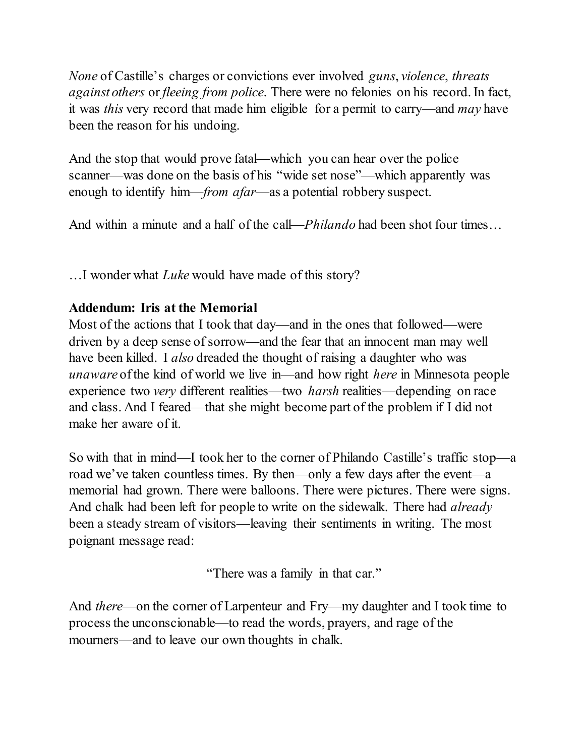*None* of Castille's charges or convictions ever involved *guns*, *violence*, *threats against others* or *fleeing from police*. There were no felonies on his record. In fact, it was *this* very record that made him eligible for a permit to carry—and *may* have been the reason for his undoing.

And the stop that would prove fatal—which you can hear over the police scanner—was done on the basis of his "wide set nose"—which apparently was enough to identify him—*from afar*—as a potential robbery suspect.

And within a minute and a half of the call—*Philando* had been shot four times…

…I wonder what *Luke* would have made of this story?

# **Addendum: Iris at the Memorial**

Most of the actions that I took that day—and in the ones that followed—were driven by a deep sense of sorrow—and the fear that an innocent man may well have been killed. I *also* dreaded the thought of raising a daughter who was *unaware* of the kind of world we live in—and how right *here* in Minnesota people experience two *very* different realities—two *harsh* realities—depending on race and class. And I feared—that she might become part of the problem if I did not make her aware of it.

So with that in mind—I took her to the corner of Philando Castille's traffic stop—a road we've taken countless times. By then—only a few days after the event—a memorial had grown. There were balloons. There were pictures. There were signs. And chalk had been left for people to write on the sidewalk. There had *already* been a steady stream of visitors—leaving their sentiments in writing. The most poignant message read:

"There was a family in that car."

And *there*—on the corner of Larpenteur and Fry—my daughter and I took time to process the unconscionable—to read the words, prayers, and rage of the mourners—and to leave our own thoughts in chalk.